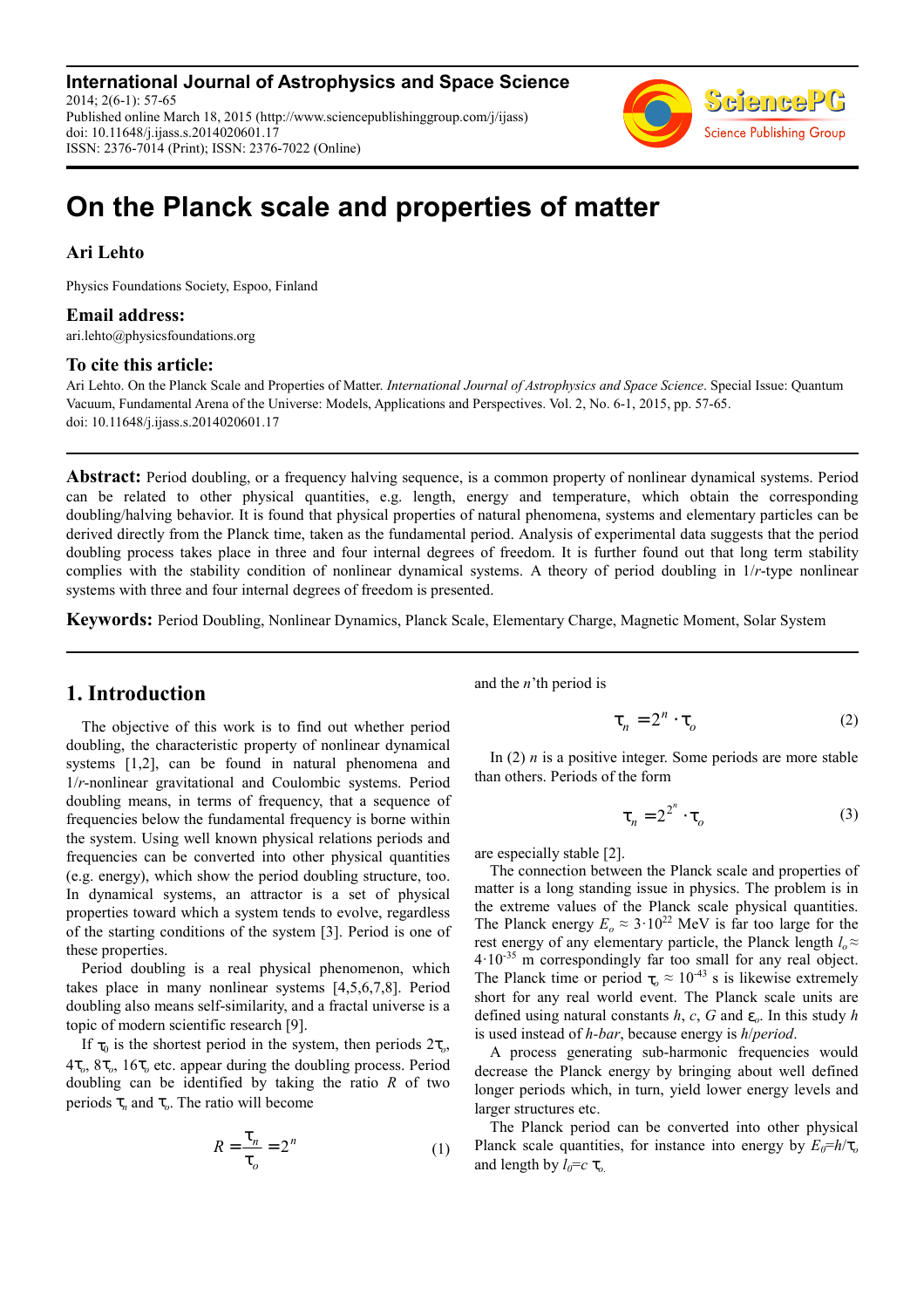**International Journal of Astrophysics and Space Science** 2014; 2(6-1): 57-65 Published online March 18, 2015 (http://www.sciencepublishinggroup.com/j/ijass) doi: 10.11648/j.ijass.s.2014020601.17 ISSN: 2376-7014 (Print); ISSN: 2376-7022 (Online)



# **On the Planck scale and properties of matter**

### **Ari Lehto**

Physics Foundations Society, Espoo, Finland

### **Email address:**

ari.lehto@physicsfoundations.org

### **To cite this article:**

Ari Lehto. On the Planck Scale and Properties of Matter. *International Journal of Astrophysics and Space Science*. Special Issue: Quantum Vacuum, Fundamental Arena of the Universe: Models, Applications and Perspectives. Vol. 2, No. 6-1, 2015, pp. 57-65. doi: 10.11648/j.ijass.s.2014020601.17

**Abstract:** Period doubling, or a frequency halving sequence, is a common property of nonlinear dynamical systems. Period can be related to other physical quantities, e.g. length, energy and temperature, which obtain the corresponding doubling/halving behavior. It is found that physical properties of natural phenomena, systems and elementary particles can be derived directly from the Planck time, taken as the fundamental period. Analysis of experimental data suggests that the period doubling process takes place in three and four internal degrees of freedom. It is further found out that long term stability complies with the stability condition of nonlinear dynamical systems. A theory of period doubling in 1/*r*-type nonlinear systems with three and four internal degrees of freedom is presented.

**Keywords:** Period Doubling, Nonlinear Dynamics, Planck Scale, Elementary Charge, Magnetic Moment, Solar System

# **1. Introduction**

The objective of this work is to find out whether period doubling, the characteristic property of nonlinear dynamical systems [1,2], can be found in natural phenomena and 1/*r*-nonlinear gravitational and Coulombic systems. Period doubling means, in terms of frequency, that a sequence of frequencies below the fundamental frequency is borne within the system. Using well known physical relations periods and frequencies can be converted into other physical quantities (e.g. energy), which show the period doubling structure, too. In dynamical systems, an attractor is a set of physical properties toward which a system tends to evolve, regardless of the starting conditions of the system [3]. Period is one of these properties.

Period doubling is a real physical phenomenon, which takes place in many nonlinear systems [4,5,6,7,8]. Period doubling also means self-similarity, and a fractal universe is a topic of modern scientific research [9].

If  $\tau_0$  is the shortest period in the system, then periods  $2\tau_o$ , 4τ*<sup>o</sup>* , 8τ*<sup>o</sup>* , 16τ*<sup>o</sup>* etc. appear during the doubling process. Period doubling can be identified by taking the ratio *R* of two periods  $\tau_n$  and  $\tau_o$ . The ratio will become

$$
R = \frac{\tau_n}{\tau_o} = 2^n \tag{1}
$$

and the *n*'th period is

$$
\tau_n = 2^n \cdot \tau_o \tag{2}
$$

In (2) *n* is a positive integer. Some periods are more stable than others. Periods of the form

$$
\tau_n = 2^{2^n} \cdot \tau_o \tag{3}
$$

are especially stable [2].

The connection between the Planck scale and properties of matter is a long standing issue in physics. The problem is in the extreme values of the Planck scale physical quantities. The Planck energy  $E_o \approx 3.10^{22}$  MeV is far too large for the rest energy of any elementary particle, the Planck length  $l_o \approx$ 4·10-35 m correspondingly far too small for any real object. The Planck time or period  $\tau_o \approx 10^{-43}$  s is likewise extremely short for any real world event. The Planck scale units are defined using natural constants  $h$ ,  $c$ ,  $G$  and  $\varepsilon$ <sub>o</sub>. In this study  $h$ is used instead of *h-bar*, because energy is *h*/*period*.

A process generating sub-harmonic frequencies would decrease the Planck energy by bringing about well defined longer periods which, in turn, yield lower energy levels and larger structures etc.

The Planck period can be converted into other physical Planck scale quantities, for instance into energy by  $E_0 = h/\tau_o$ and length by  $l_0 = c \tau_0$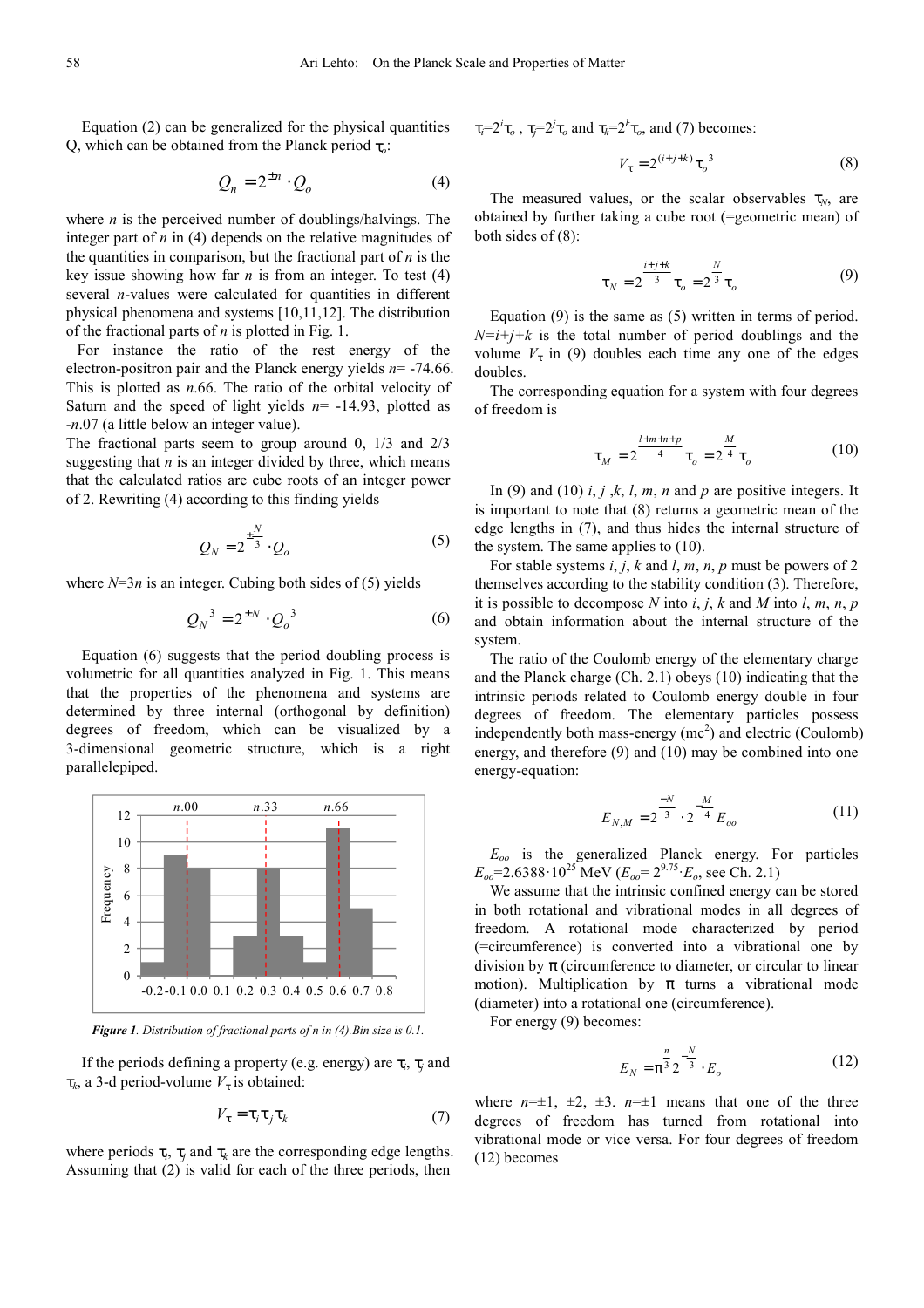Equation (2) can be generalized for the physical quantities Q, which can be obtained from the Planck period τ*<sup>o</sup>* :

$$
Q_n = 2^{\pm n} \cdot Q_o \tag{4}
$$

where *n* is the perceived number of doublings/halvings. The integer part of *n* in (4) depends on the relative magnitudes of the quantities in comparison, but the fractional part of *n* is the key issue showing how far  $n$  is from an integer. To test  $(4)$ several *n*-values were calculated for quantities in different physical phenomena and systems [10,11,12]. The distribution of the fractional parts of *n* is plotted in Fig. 1.

For instance the ratio of the rest energy of the electron-positron pair and the Planck energy yields *n*= -74.66. This is plotted as *n*.66. The ratio of the orbital velocity of Saturn and the speed of light yields *n*= -14.93, plotted as -*n*.07 (a little below an integer value).

The fractional parts seem to group around 0, 1/3 and 2/3 suggesting that *n* is an integer divided by three, which means that the calculated ratios are cube roots of an integer power of 2. Rewriting (4) according to this finding yields

$$
Q_N = 2^{\frac{\pm N}{3}} \cdot Q_o \tag{5}
$$

where  $N=3n$  is an integer. Cubing both sides of (5) yields

$$
Q_N^3 = 2^{\pm N} \cdot Q_o^3 \tag{6}
$$

Equation (6) suggests that the period doubling process is volumetric for all quantities analyzed in Fig. 1. This means that the properties of the phenomena and systems are determined by three internal (orthogonal by definition) degrees of freedom, which can be visualized by a 3-dimensional geometric structure, which is a right parallelepiped.



*Figure 1. Distribution of fractional parts of n in (4).Bin size is 0.1.* 

If the periods defining a property (e.g. energy) are  $\tau_i$ ,  $\tau_j$  and  $\tau_k$ , a 3-d period-volume  $V_\tau$  is obtained:

$$
V_{\tau} = \tau_i \tau_j \tau_k \tag{7}
$$

where periods  $\tau_i$ ,  $\tau_j$  and  $\tau_k$  are the corresponding edge lengths. Assuming that (2) is valid for each of the three periods, then

τ<sub>*i*</sub><sup>=2*i*</sup>τ<sub>*o*</sub>, τ<sub>*j*</sub>=2<sup>*i*</sup>τ<sub>*o*</sub>, and  $τ$ <sub>*k*</sub>=2<sup>*k*</sup>τ<sub>*o*</sub>, and (7) becomes:

$$
V_{\tau} = 2^{(i+j+k)} \tau_o^3 \tag{8}
$$

The measured values, or the scalar observables  $\tau_N$ , are obtained by further taking a cube root (=geometric mean) of both sides of (8):

$$
\tau_N = 2^{\frac{i+j+k}{3}} \tau_o = 2^{\frac{N}{3}} \tau_o \tag{9}
$$

Equation (9) is the same as (5) written in terms of period.  $N=i+j+k$  is the total number of period doublings and the volume  $V_{\tau}$  in (9) doubles each time any one of the edges doubles.

The corresponding equation for a system with four degrees of freedom is

$$
\tau_M = 2^{\frac{l+m+n+p}{4}} \tau_o = 2^{\frac{M}{4}} \tau_o \tag{10}
$$

In (9) and (10)  $i, j, k, l, m, n$  and  $p$  are positive integers. It is important to note that (8) returns a geometric mean of the edge lengths in (7), and thus hides the internal structure of the system. The same applies to (10).

For stable systems *i*, *j*, *k* and *l*, *m*, *n*, *p* must be powers of 2 themselves according to the stability condition (3). Therefore, it is possible to decompose  $N$  into  $i, j, k$  and  $M$  into  $l, m, n, p$ and obtain information about the internal structure of the system.

The ratio of the Coulomb energy of the elementary charge and the Planck charge (Ch. 2.1) obeys (10) indicating that the intrinsic periods related to Coulomb energy double in four degrees of freedom. The elementary particles possess independently both mass-energy  $(mc^2)$  and electric (Coulomb) energy, and therefore (9) and (10) may be combined into one energy-equation:

$$
E_{N,M} = 2^{\frac{-N}{3}} \cdot 2^{-\frac{M}{4}} E_{oo}
$$
 (11)

*Eoo* is the generalized Planck energy. For particles  $E_{oo}$ =2.6388·10<sup>25</sup> MeV ( $E_{oo}$ = 2<sup>9.75</sup>  $E_o$ , see Ch. 2.1)

We assume that the intrinsic confined energy can be stored in both rotational and vibrational modes in all degrees of freedom. A rotational mode characterized by period (=circumference) is converted into a vibrational one by division by  $\pi$  (circumference to diameter, or circular to linear motion). Multiplication by  $\pi$  turns a vibrational mode (diameter) into a rotational one (circumference).

For energy (9) becomes:

$$
E_N = \pi^{\frac{n}{3}} 2^{-\frac{N}{3}} \cdot E_o \tag{12}
$$

where  $n=\pm 1$ ,  $\pm 2$ ,  $\pm 3$ .  $n=\pm 1$  means that one of the three degrees of freedom has turned from rotational into vibrational mode or vice versa. For four degrees of freedom (12) becomes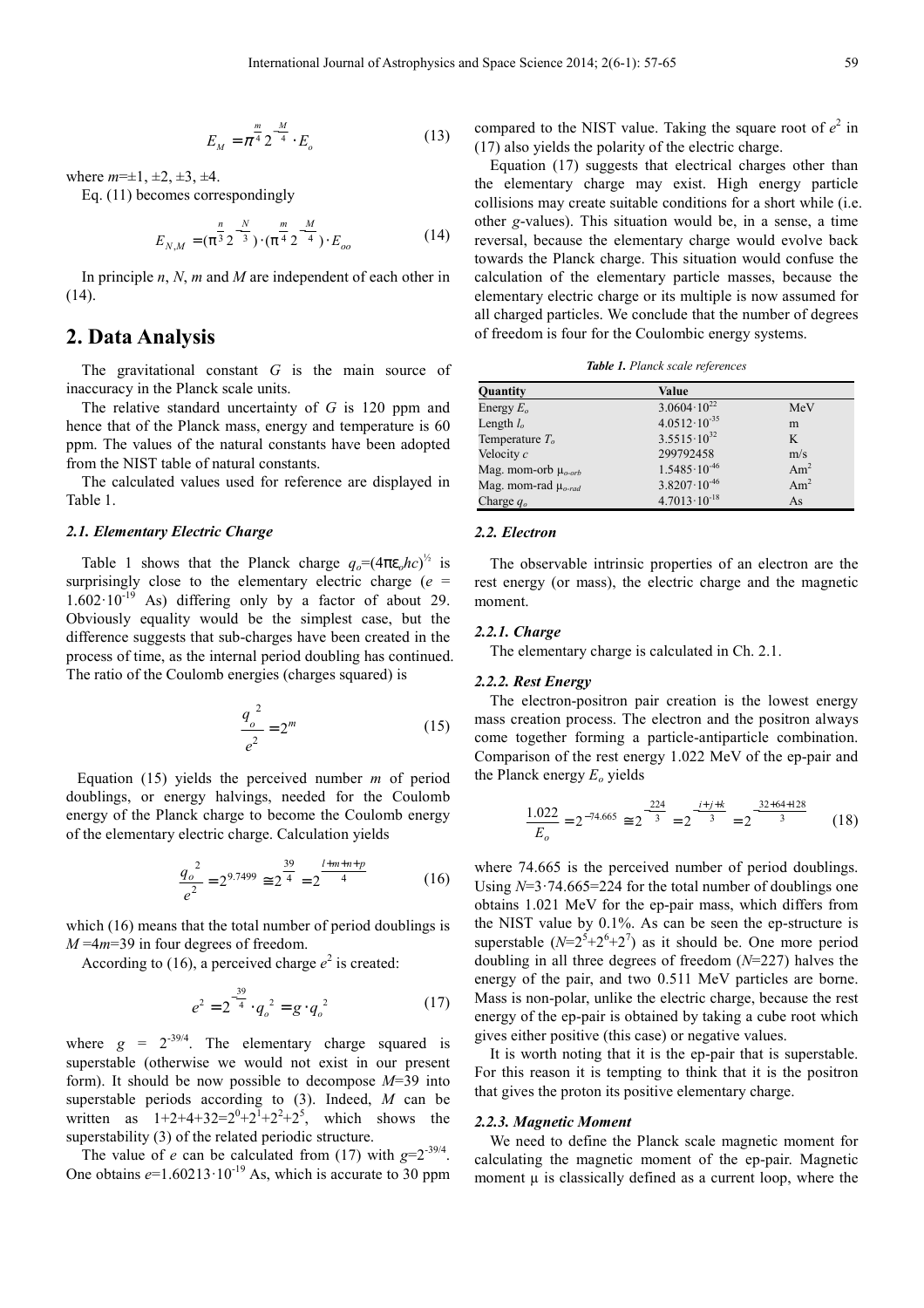$$
E_M = \pi^{\frac{m}{4}} 2^{-\frac{M}{4}} \cdot E_o \tag{13}
$$

where  $m=\pm 1, \pm 2, \pm 3, \pm 4$ .

Eq. (11) becomes correspondingly

$$
E_{N,M} = (\pi^{\frac{n}{3}} 2^{-\frac{N}{3}}) \cdot (\pi^{\frac{m}{4}} 2^{-\frac{M}{4}}) \cdot E_{oo}
$$
 (14)

In principle *n*, *N*, *m* and *M* are independent of each other in (14).

# **2. Data Analysis**

The gravitational constant *G* is the main source of inaccuracy in the Planck scale units.

The relative standard uncertainty of *G* is 120 ppm and hence that of the Planck mass, energy and temperature is 60 ppm. The values of the natural constants have been adopted from the NIST table of natural constants.

The calculated values used for reference are displayed in Table 1.

### *2.1. Elementary Electric Charge*

Table 1 shows that the Planck charge  $q_o = (4\pi\varepsilon_o hc)^{1/2}$  is surprisingly close to the elementary electric charge (*e* =  $1.602 \cdot 10^{-19}$  As) differing only by a factor of about 29. Obviously equality would be the simplest case, but the difference suggests that sub-charges have been created in the process of time, as the internal period doubling has continued. The ratio of the Coulomb energies (charges squared) is

$$
\frac{q_o^2}{e^2} = 2^m \tag{15}
$$

Equation (15) yields the perceived number *m* of period doublings, or energy halvings, needed for the Coulomb energy of the Planck charge to become the Coulomb energy of the elementary electric charge. Calculation yields

$$
\frac{q_o^2}{e^2} = 2^{9.7499} \approx 2^{\frac{39}{4}} = 2^{\frac{l+m+n+p}{4}}
$$
 (16)

which (16) means that the total number of period doublings is *M* =4*m*=39 in four degrees of freedom.

According to (16), a perceived charge  $e^2$  is created:

$$
e^{2} = 2^{-\frac{39}{4}} \cdot q_{o}^{2} = g \cdot q_{o}^{2}
$$
 (17)

where  $g = 2^{-39/4}$ . The elementary charge squared is superstable (otherwise we would not exist in our present form). It should be now possible to decompose *M*=39 into superstable periods according to (3). Indeed, *M* can be written as  $1+2+4+32=2^{0}+2^{1}+2^{2}+2^{5}$ , which shows the superstability (3) of the related periodic structure.

The value of *e* can be calculated from (17) with  $g=2^{-39/4}$ . One obtains  $e=1.60213 \cdot 10^{-19}$  As, which is accurate to 30 ppm

compared to the NIST value. Taking the square root of  $e^2$  in (17) also yields the polarity of the electric charge.

Equation (17) suggests that electrical charges other than the elementary charge may exist. High energy particle collisions may create suitable conditions for a short while (i.e. other *g*-values). This situation would be, in a sense, a time reversal, because the elementary charge would evolve back towards the Planck charge. This situation would confuse the calculation of the elementary particle masses, because the elementary electric charge or its multiple is now assumed for all charged particles. We conclude that the number of degrees of freedom is four for the Coulombic energy systems.

*Table 1. Planck scale references* 

| <b>Value</b>            |                         |
|-------------------------|-------------------------|
| $3.0604 \cdot 10^{22}$  | MeV                     |
| $4.0512 \cdot 10^{-35}$ | m                       |
| $3.5515 \cdot 10^{32}$  | K                       |
| 299792458               | m/s                     |
| $1.5485 \cdot 10^{-46}$ | Am <sup>2</sup>         |
|                         | Am <sup>2</sup>         |
| $4.7013 \cdot 10^{-18}$ | As                      |
|                         | $3.8207 \cdot 10^{-46}$ |

### *2.2. Electron*

The observable intrinsic properties of an electron are the rest energy (or mass), the electric charge and the magnetic moment.

#### *2.2.1. Charge*

The elementary charge is calculated in Ch. 2.1.

### *2.2.2. Rest Energy*

The electron-positron pair creation is the lowest energy mass creation process. The electron and the positron always come together forming a particle-antiparticle combination. Comparison of the rest energy 1.022 MeV of the ep-pair and the Planck energy *Eo* yields

$$
\frac{1.022}{E_o} = 2^{-74.665} \approx 2^{\frac{-224}{3}} = 2^{\frac{-i+j+k}{3}} = 2^{\frac{-32+64+128}{3}} \tag{18}
$$

where 74.665 is the perceived number of period doublings. Using *N*=3·74.665=224 for the total number of doublings one obtains 1.021 MeV for the ep-pair mass, which differs from the NIST value by 0.1%. As can be seen the ep-structure is superstable  $(N=2^5+2^6+2^7)$  as it should be. One more period doubling in all three degrees of freedom (*N*=227) halves the energy of the pair, and two 0.511 MeV particles are borne. Mass is non-polar, unlike the electric charge, because the rest energy of the ep-pair is obtained by taking a cube root which gives either positive (this case) or negative values.

It is worth noting that it is the ep-pair that is superstable. For this reason it is tempting to think that it is the positron that gives the proton its positive elementary charge.

#### *2.2.3. Magnetic Moment*

We need to define the Planck scale magnetic moment for calculating the magnetic moment of the ep-pair. Magnetic moment  $\mu$  is classically defined as a current loop, where the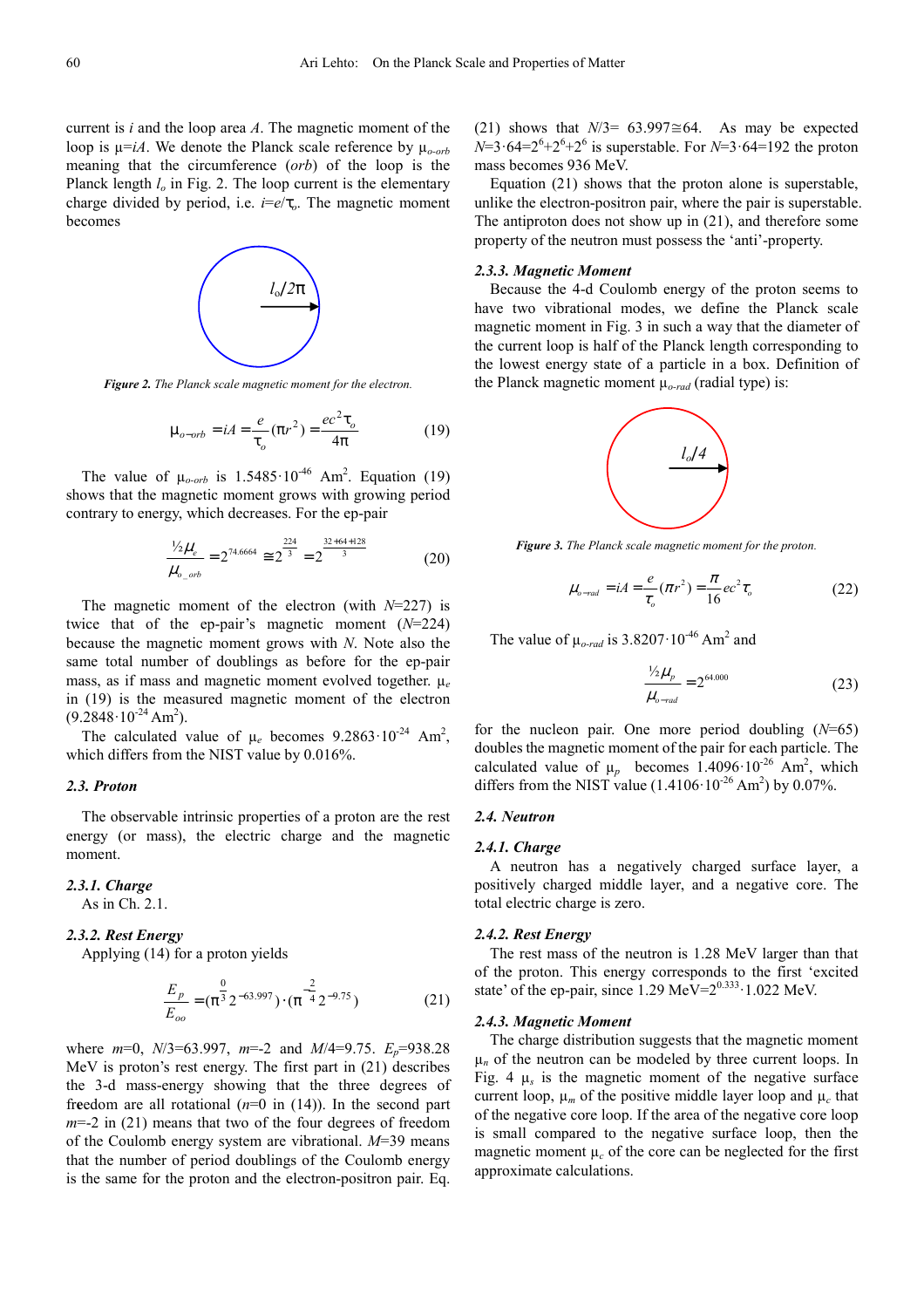current is *i* and the loop area *A*. The magnetic moment of the loop is  $\mu = iA$ . We denote the Planck scale reference by  $\mu_{o-orb}$ meaning that the circumference (*orb*) of the loop is the Planck length  $l<sub>o</sub>$  in Fig. 2. The loop current is the elementary charge divided by period, i.e. *i*=*e*/τ*o*. The magnetic moment becomes



*Figure 2. The Planck scale magnetic moment for the electron.*

$$
\mu_{o-orb} = iA = \frac{e}{\tau_o} (\pi r^2) = \frac{ec^2 \tau_o}{4\pi}
$$
 (19)

The value of  $\mu_{o-orb}$  is 1.5485·10<sup>-46</sup> Am<sup>2</sup>. Equation (19) shows that the magnetic moment grows with growing period contrary to energy, which decreases. For the ep-pair

$$
\frac{\frac{1}{2}\mu_e}{\mu_{o\_orb}} = 2^{74.6664} \approx 2^{\frac{224}{3}} = 2^{\frac{32+64+128}{3}}
$$
(20)

The magnetic moment of the electron (with *N*=227) is twice that of the ep-pair's magnetic moment (*N*=224) because the magnetic moment grows with *N*. Note also the same total number of doublings as before for the ep-pair mass, as if mass and magnetic moment evolved together. µ*<sup>e</sup>* in (19) is the measured magnetic moment of the electron  $(9.2848 \cdot 10^{-24} \text{ Am}^2)$ .

The calculated value of  $\mu_e$  becomes  $9.2863 \cdot 10^{-24}$  Am<sup>2</sup>, which differs from the NIST value by 0.016%.

#### *2.3. Proton*

The observable intrinsic properties of a proton are the rest energy (or mass), the electric charge and the magnetic moment.

### *2.3.1. Charge*

As in Ch. 2.1.

### *2.3.2. Rest Energy*

Applying (14) for a proton yields

$$
\frac{E_p}{E_{oo}} = (\pi^{\frac{0}{3}} 2^{-63.997}) \cdot (\pi^{\frac{2}{4}} 2^{-9.75})
$$
\n(21)

where *m*=0, *N*/3=63.997, *m*=-2 and *M*/4=9.75. *Ep*=938.28 MeV is proton's rest energy. The first part in (21) describes the 3-d mass-energy showing that the three degrees of fr**e**edom are all rotational (*n*=0 in (14)). In the second part *m*=-2 in (21) means that two of the four degrees of freedom of the Coulomb energy system are vibrational. *M*=39 means that the number of period doublings of the Coulomb energy is the same for the proton and the electron-positron pair. Eq.

(21) shows that  $N/3$ = 63.997≅64. As may be expected  $N=3.64=2^{6}+2^{6}+2^{6}$  is superstable. For  $N=3.64=192$  the proton mass becomes 936 MeV.

Equation (21) shows that the proton alone is superstable, unlike the electron-positron pair, where the pair is superstable. The antiproton does not show up in (21), and therefore some property of the neutron must possess the 'anti'-property.

### *2.3.3. Magnetic Moment*

Because the 4-d Coulomb energy of the proton seems to have two vibrational modes, we define the Planck scale magnetic moment in Fig. 3 in such a way that the diameter of the current loop is half of the Planck length corresponding to the lowest energy state of a particle in a box. Definition of the Planck magnetic moment  $\mu_{o\text{-}rad}$  (radial type) is:



*Figure 3. The Planck scale magnetic moment for the proton.* 

$$
\mu_{o\text{-}rad} = iA = \frac{e}{\tau_o}(\pi r^2) = \frac{\pi}{16}ec^2\tau_o \tag{22}
$$

The value of  $\mu_{o\text{-}rad}$  is 3.8207 $\cdot$ 10<sup>-46</sup> Am<sup>2</sup> and

$$
\frac{\frac{1}{2}\mu_p}{\mu_{o-rad}} = 2^{64.000}
$$
 (23)

for the nucleon pair. One more period doubling (*N*=65) doubles the magnetic moment of the pair for each particle. The calculated value of  $\mu_p$  becomes 1.4096·10<sup>-26</sup> Am<sup>2</sup>, which differs from the NIST value  $(1.4106 \cdot 10^{-26} \text{ Am}^2)$  by 0.07%.

### *2.4. Neutron*

### *2.4.1. Charge*

A neutron has a negatively charged surface layer, a positively charged middle layer, and a negative core. The total electric charge is zero.

### *2.4.2. Rest Energy*

The rest mass of the neutron is 1.28 MeV larger than that of the proton. This energy corresponds to the first 'excited state' of the ep-pair, since  $1.29 \text{ MeV} = 2^{0.333} \cdot 1.022 \text{ MeV}$ .

### *2.4.3. Magnetic Moment*

The charge distribution suggests that the magnetic moment  $\mu_n$  of the neutron can be modeled by three current loops. In Fig. 4  $\mu_s$  is the magnetic moment of the negative surface current loop,  $\mu_m$  of the positive middle layer loop and  $\mu_c$  that of the negative core loop. If the area of the negative core loop is small compared to the negative surface loop, then the magnetic moment  $\mu_c$  of the core can be neglected for the first approximate calculations.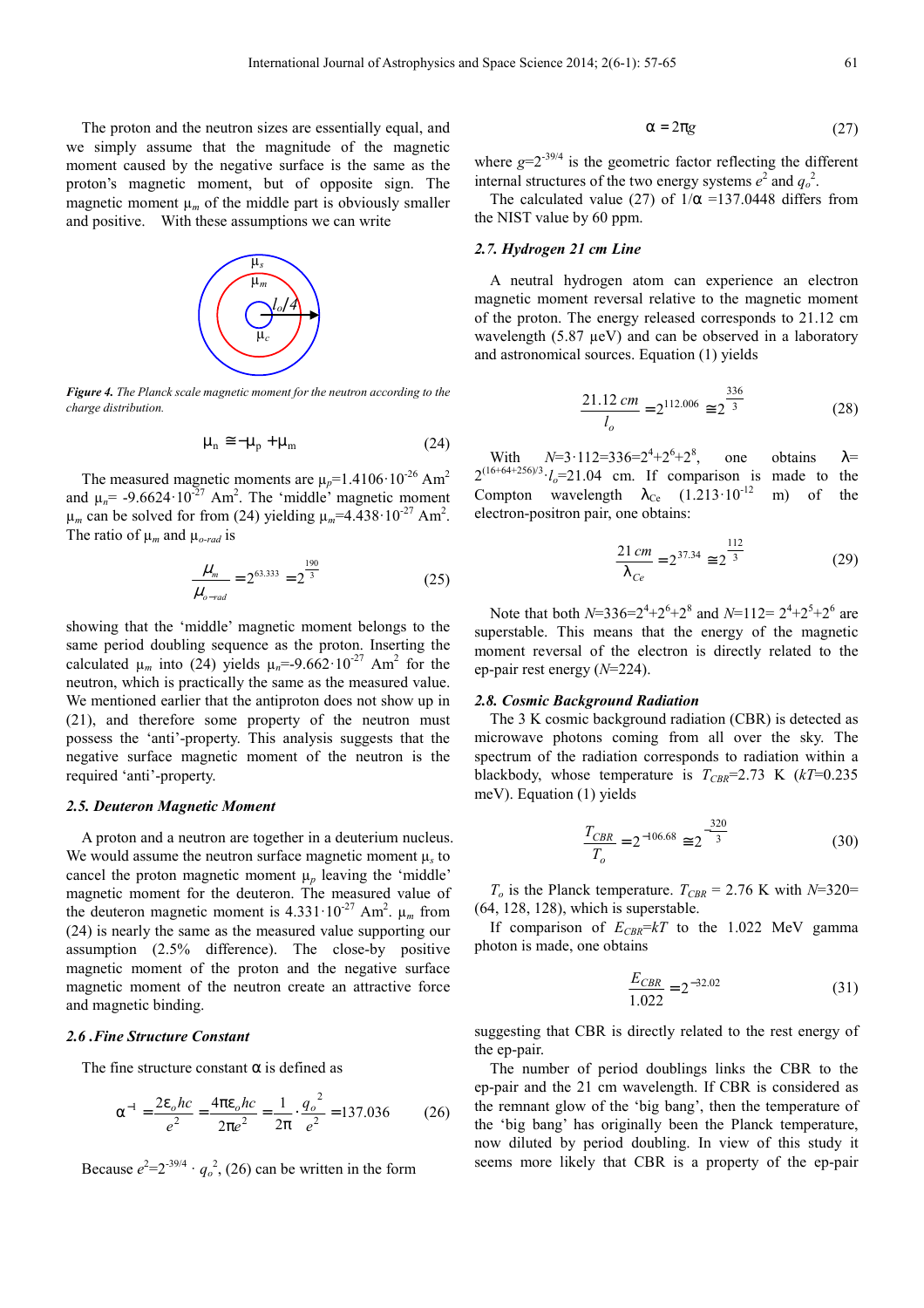The proton and the neutron sizes are essentially equal, and we simply assume that the magnitude of the magnetic moment caused by the negative surface is the same as the proton's magnetic moment, but of opposite sign. The magnetic moment  $\mu_m$  of the middle part is obviously smaller and positive. With these assumptions we can write



*Figure 4. The Planck scale magnetic moment for the neutron according to the charge distribution.* 

$$
\mu_{n} \cong -\mu_{p} + \mu_{m} \tag{24}
$$

The measured magnetic moments are  $\mu_p$ =1.4106·10<sup>-26</sup> Am<sup>2</sup> and  $\mu_n$  = -9.6624·10<sup>-27</sup> Am<sup>2</sup>. The 'middle' magnetic moment  $\mu_m$  can be solved for from (24) yielding  $\mu_m$ =4.438·10<sup>-27</sup> Am<sup>2</sup>. The ratio of  $\mu_m$  and  $\mu_{o\text{-}rad}$  is

$$
\frac{\mu_m}{\mu_{o\text{-}rad}} = 2^{63.333} = 2^{\frac{190}{3}}
$$
 (25)

showing that the 'middle' magnetic moment belongs to the same period doubling sequence as the proton. Inserting the calculated  $\mu_m$  into (24) yields  $\mu_n = -9.662 \cdot 10^{-27}$  Am<sup>2</sup> for the neutron, which is practically the same as the measured value. We mentioned earlier that the antiproton does not show up in (21), and therefore some property of the neutron must possess the 'anti'-property. This analysis suggests that the negative surface magnetic moment of the neutron is the required 'anti'-property.

### *2.5. Deuteron Magnetic Moment*

A proton and a neutron are together in a deuterium nucleus. We would assume the neutron surface magnetic moment  $\mu_s$  to cancel the proton magnetic moment  $\mu_p$  leaving the 'middle' magnetic moment for the deuteron. The measured value of the deuteron magnetic moment is  $4.331 \cdot 10^{-27}$  Am<sup>2</sup>.  $\mu_m$  from (24) is nearly the same as the measured value supporting our assumption (2.5% difference). The close-by positive magnetic moment of the proton and the negative surface magnetic moment of the neutron create an attractive force and magnetic binding.

#### *2.6 .Fine Structure Constant*

The fine structure constant  $\alpha$  is defined as

$$
\alpha^{-1} = \frac{2\varepsilon_o hc}{e^2} = \frac{4\pi\varepsilon_o hc}{2\pi e^2} = \frac{1}{2\pi} \cdot \frac{{q_o}^2}{e^2} = 137.036\tag{26}
$$

Because  $e^2 = 2^{-39/4} \cdot q_o^2$ , (26) can be written in the form

$$
\alpha = 2\pi g \tag{27}
$$

where  $g=2^{-39/4}$  is the geometric factor reflecting the different internal structures of the two energy systems  $e^2$  and  $q_o^2$ .

The calculated value (27) of  $1/\alpha$  =137.0448 differs from the NIST value by 60 ppm.

### *2.7. Hydrogen 21 cm Line*

A neutral hydrogen atom can experience an electron magnetic moment reversal relative to the magnetic moment of the proton. The energy released corresponds to 21.12 cm wavelength (5.87  $\mu$ eV) and can be observed in a laboratory and astronomical sources. Equation (1) yields

$$
\frac{21.12 \, \text{cm}}{l_o} = 2^{112.006} \cong 2^{\frac{336}{3}} \tag{28}
$$

With  $N=3.112=336=2^4+2^6+2^8$ one obtains  $\lambda$ =  $2^{(16+64+256)/3} \cdot l_o = 21.04$  cm. If comparison is made to the Compton wavelength  $\lambda_{Ce}$  (1.213·10<sup>-12</sup> m) of the electron-positron pair, one obtains:

$$
\frac{21\,cm}{\lambda_{Ce}} = 2^{37.34} \approx 2^{\frac{112}{3}}
$$
 (29)

Note that both  $N=336=2^4+2^6+2^8$  and  $N=112=2^4+2^5+2^6$  are superstable. This means that the energy of the magnetic moment reversal of the electron is directly related to the ep-pair rest energy (*N*=224).

#### *2.8. Cosmic Background Radiation*

The 3 K cosmic background radiation (CBR) is detected as microwave photons coming from all over the sky. The spectrum of the radiation corresponds to radiation within a blackbody, whose temperature is  $T_{CBR}$ =2.73 K ( $kT$ =0.235 meV). Equation (1) yields

$$
\frac{T_{CBR}}{T_o} = 2^{-106.68} \approx 2^{-\frac{320}{3}}
$$
 (30)

 $T_o$  is the Planck temperature.  $T_{CBR} = 2.76$  K with *N*=320= (64, 128, 128), which is superstable.

If comparison of  $E_{CBR} = kT$  to the 1.022 MeV gamma photon is made, one obtains

$$
\frac{E_{CBR}}{1.022} = 2^{-32.02} \tag{31}
$$

suggesting that CBR is directly related to the rest energy of the ep-pair.

The number of period doublings links the CBR to the ep-pair and the 21 cm wavelength. If CBR is considered as the remnant glow of the 'big bang', then the temperature of the 'big bang' has originally been the Planck temperature, now diluted by period doubling. In view of this study it seems more likely that CBR is a property of the ep-pair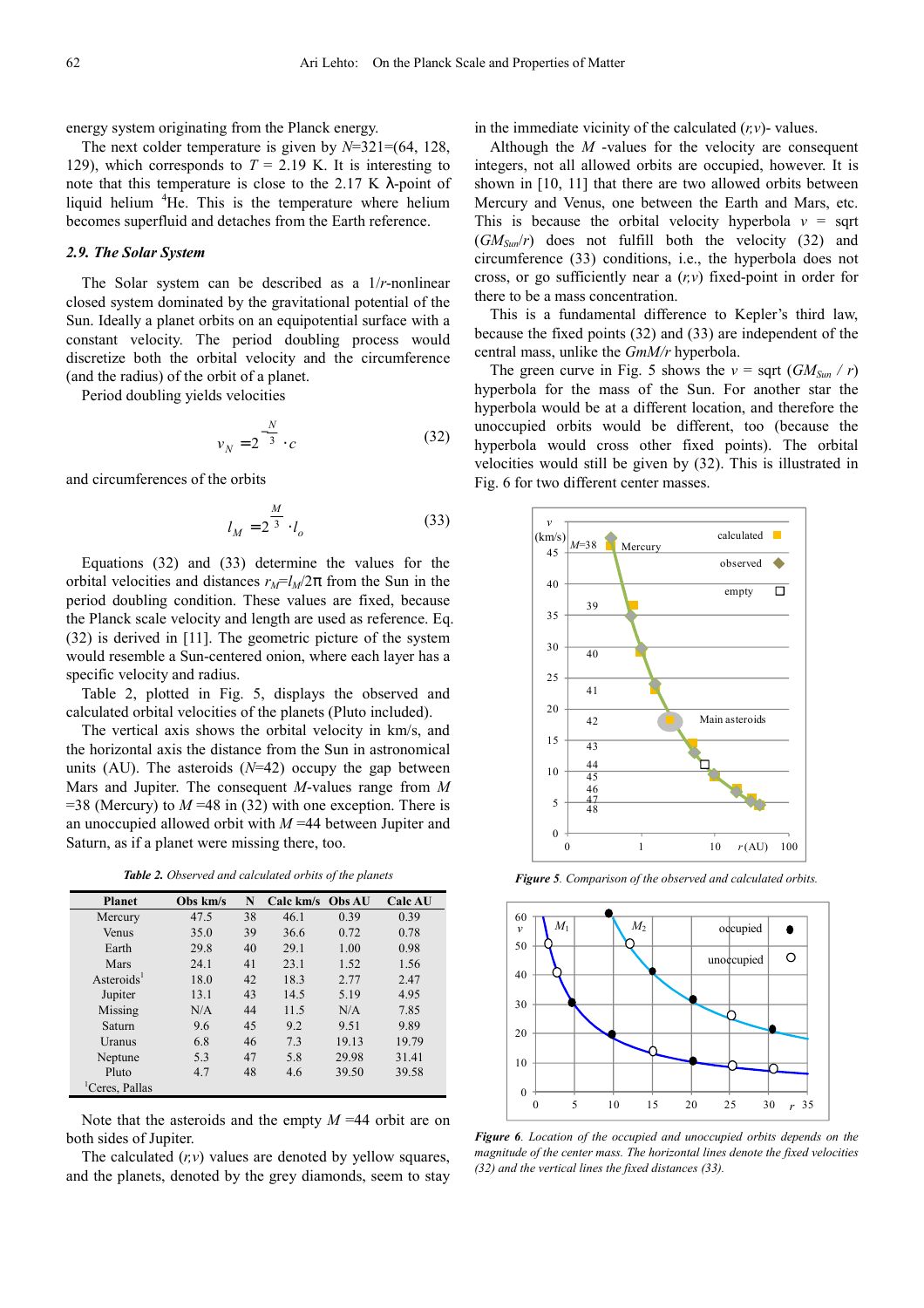energy system originating from the Planck energy.

The next colder temperature is given by  $N=321=(64, 128,$ 129), which corresponds to  $T = 2.19$  K. It is interesting to note that this temperature is close to the 2.17 K  $\lambda$ -point of liquid helium  ${}^{4}$ He. This is the temperature where helium becomes superfluid and detaches from the Earth reference.

### *2.9. The Solar System*

The Solar system can be described as a 1/*r*-nonlinear closed system dominated by the gravitational potential of the Sun. Ideally a planet orbits on an equipotential surface with a constant velocity. The period doubling process would discretize both the orbital velocity and the circumference (and the radius) of the orbit of a planet.

Period doubling yields velocities

$$
v_N = 2^{-\frac{N}{3}} \cdot c \tag{32}
$$

and circumferences of the orbits

$$
l_M = 2^{\frac{M}{3}} \cdot l_o \tag{33}
$$

Equations (32) and (33) determine the values for the orbital velocities and distances  $r_M = l_M/2\pi$  from the Sun in the period doubling condition. These values are fixed, because the Planck scale velocity and length are used as reference. Eq. (32) is derived in [11]. The geometric picture of the system would resemble a Sun-centered onion, where each layer has a specific velocity and radius.

Table 2, plotted in Fig. 5, displays the observed and calculated orbital velocities of the planets (Pluto included).

The vertical axis shows the orbital velocity in km/s, and the horizontal axis the distance from the Sun in astronomical units (AU). The asteroids (*N*=42) occupy the gap between Mars and Jupiter. The consequent *M*-values range from *M*  $=$ 38 (Mercury) to *M*  $=$ 48 in (32) with one exception. There is an unoccupied allowed orbit with *M* =44 between Jupiter and Saturn, as if a planet were missing there, too.

*Table 2. Observed and calculated orbits of the planets* 

| <b>Planet</b>          | Obs km/s | N  | Calc km/s Obs AU |       | <b>Calc AU</b> |
|------------------------|----------|----|------------------|-------|----------------|
| Mercury                | 47.5     | 38 | 46.1             | 0.39  | 0.39           |
| Venus                  | 35.0     | 39 | 36.6             | 0.72  | 0.78           |
| Earth                  | 29.8     | 40 | 29.1             | 1.00  | 0.98           |
| Mars                   | 24.1     | 41 | 23.1             | 1.52  | 1.56           |
| Asteroids <sup>1</sup> | 18.0     | 42 | 18.3             | 2.77  | 2.47           |
| Jupiter                | 13.1     | 43 | 14.5             | 5.19  | 4.95           |
| Missing                | N/A      | 44 | 11.5             | N/A   | 7.85           |
| Saturn                 | 9.6      | 45 | 9.2              | 9.51  | 9.89           |
| Uranus                 | 6.8      | 46 | 7.3              | 19.13 | 19.79          |
| Neptune                | 5.3      | 47 | 5.8              | 29.98 | 31.41          |
| Pluto                  | 4.7      | 48 | 4.6              | 39.50 | 39.58          |
| 'Ceres, Pallas         |          |    |                  |       |                |

Note that the asteroids and the empty *M* =44 orbit are on both sides of Jupiter.

The calculated  $(r, v)$  values are denoted by yellow squares, and the planets, denoted by the grey diamonds, seem to stay in the immediate vicinity of the calculated  $(r, v)$ -values.

Although the *M* -values for the velocity are consequent integers, not all allowed orbits are occupied, however. It is shown in [10, 11] that there are two allowed orbits between Mercury and Venus, one between the Earth and Mars, etc. This is because the orbital velocity hyperbola  $v =$  sqrt (*GMSun*/*r*) does not fulfill both the velocity (32) and circumference (33) conditions, i.e., the hyperbola does not cross, or go sufficiently near a (*r,v*) fixed-point in order for there to be a mass concentration.

This is a fundamental difference to Kepler's third law, because the fixed points (32) and (33) are independent of the central mass, unlike the *GmM/r* hyperbola.

The green curve in Fig. 5 shows the  $v = \text{sqrt } (GM_{Sun} / r)$ hyperbola for the mass of the Sun. For another star the hyperbola would be at a different location, and therefore the unoccupied orbits would be different, too (because the hyperbola would cross other fixed points). The orbital velocities would still be given by (32). This is illustrated in Fig. 6 for two different center masses.



*Figure 5. Comparison of the observed and calculated orbits.*



*Figure 6. Location of the occupied and unoccupied orbits depends on the magnitude of the center mass. The horizontal lines denote the fixed velocities (32) and the vertical lines the fixed distances (33).*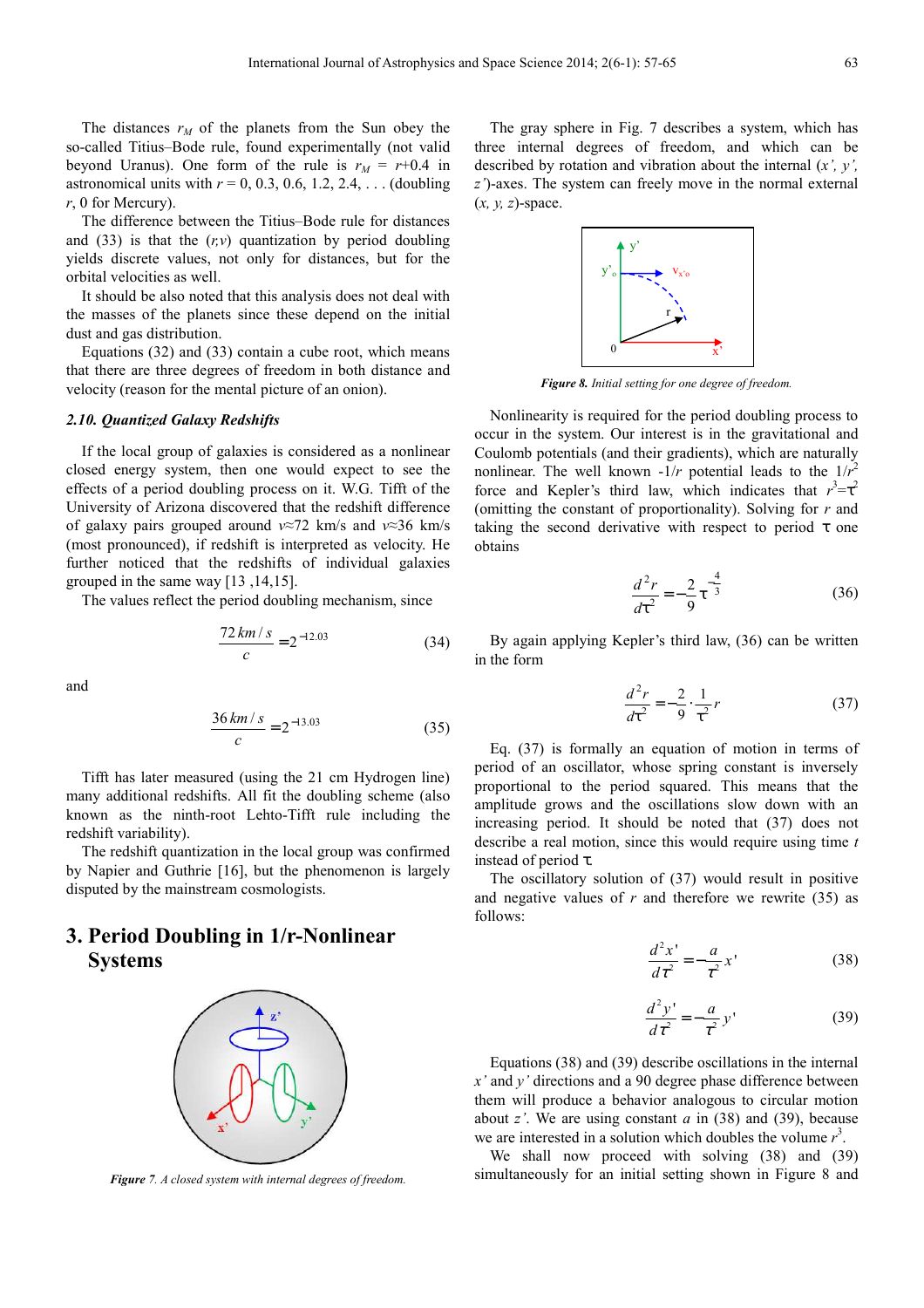The distances  $r_M$  of the planets from the Sun obey the so-called Titius–Bode rule, found experimentally (not valid beyond Uranus). One form of the rule is  $r_M = r+0.4$  in astronomical units with  $r = 0, 0.3, 0.6, 1.2, 2.4, ...$  (doubling *r*, 0 for Mercury).

The difference between the Titius–Bode rule for distances and  $(33)$  is that the  $(r, v)$  quantization by period doubling yields discrete values, not only for distances, but for the orbital velocities as well.

It should be also noted that this analysis does not deal with the masses of the planets since these depend on the initial dust and gas distribution.

Equations (32) and (33) contain a cube root, which means that there are three degrees of freedom in both distance and velocity (reason for the mental picture of an onion).

### *2.10. Quantized Galaxy Redshifts*

If the local group of galaxies is considered as a nonlinear closed energy system, then one would expect to see the effects of a period doubling process on it. W.G. Tifft of the University of Arizona discovered that the redshift difference of galaxy pairs grouped around *v*≈72 km/s and *v*≈36 km/s (most pronounced), if redshift is interpreted as velocity. He further noticed that the redshifts of individual galaxies grouped in the same way [13 ,14,15].

The values reflect the period doubling mechanism, since

$$
\frac{72 \, km \, / \, s}{c} = 2^{-12.03} \tag{34}
$$

and

$$
\frac{36 \, \text{km/s}}{c} = 2^{-13.03} \tag{35}
$$

Tifft has later measured (using the 21 cm Hydrogen line) many additional redshifts. All fit the doubling scheme (also known as the ninth-root Lehto-Tifft rule including the redshift variability).

The redshift quantization in the local group was confirmed by Napier and Guthrie [16], but the phenomenon is largely disputed by the mainstream cosmologists.

# **3. Period Doubling in 1/r-Nonlinear Systems**



*Figure 7. A closed system with internal degrees of freedom.*

The gray sphere in Fig. 7 describes a system, which has three internal degrees of freedom, and which can be described by rotation and vibration about the internal (*x', y', z'*)-axes. The system can freely move in the normal external (*x, y, z*)-space.



*Figure 8. Initial setting for one degree of freedom.* 

Nonlinearity is required for the period doubling process to occur in the system. Our interest is in the gravitational and Coulomb potentials (and their gradients), which are naturally nonlinear. The well known  $-1/r$  potential leads to the  $1/r^2$ force and Kepler's third law, which indicates that  $r^3 = \tau^2$ (omitting the constant of proportionality). Solving for *r* and taking the second derivative with respect to period  $\tau$  one obtains

$$
\frac{d^2r}{dt^2} = -\frac{2}{9}\tau^{-\frac{4}{3}}\tag{36}
$$

By again applying Kepler's third law, (36) can be written in the form

$$
\frac{d^2r}{dt^2} = -\frac{2}{9} \cdot \frac{1}{\tau^2} r \tag{37}
$$

Eq. (37) is formally an equation of motion in terms of period of an oscillator, whose spring constant is inversely proportional to the period squared. This means that the amplitude grows and the oscillations slow down with an increasing period. It should be noted that (37) does not describe a real motion, since this would require using time *t*  instead of period τ.

The oscillatory solution of (37) would result in positive and negative values of  $r$  and therefore we rewrite  $(35)$  as follows:

$$
\frac{d^2x'}{d\tau^2} = -\frac{a}{\tau^2}x' \tag{38}
$$

$$
\frac{d^2 y'}{d\tau^2} = -\frac{a}{\tau^2} y' \tag{39}
$$

Equations (38) and (39) describe oscillations in the internal *x'* and *y'* directions and a 90 degree phase difference between them will produce a behavior analogous to circular motion about *z'*. We are using constant *a* in (38) and (39), because we are interested in a solution which doubles the volume  $r<sup>3</sup>$ .

We shall now proceed with solving (38) and (39) simultaneously for an initial setting shown in Figure 8 and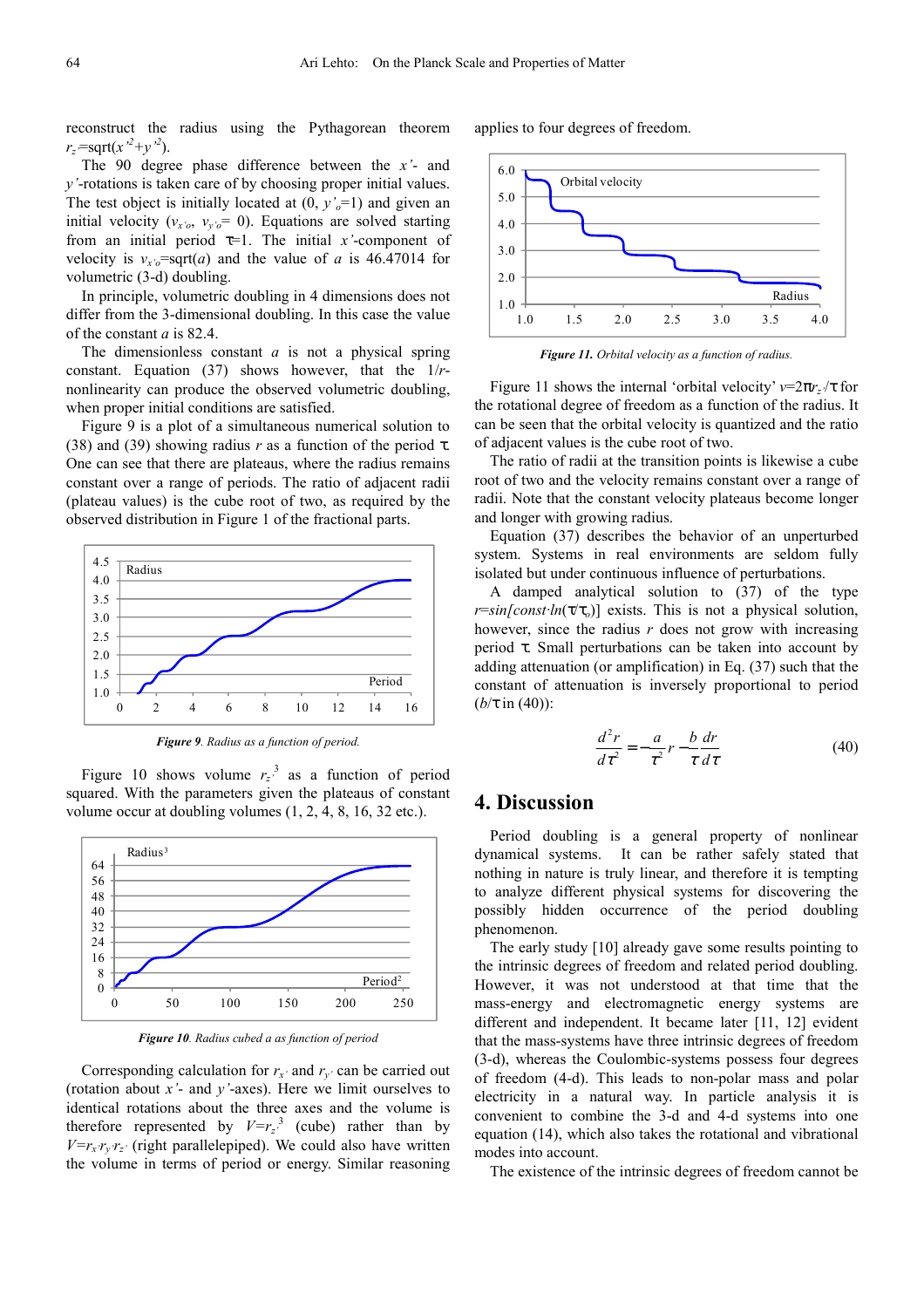reconstruct the radius using the Pythagorean theorem  $r_z = \sqrt{\frac{2}{(x^2+y^2)}}$ .

The 90 degree phase difference between the *x'*- and *y'*-rotations is taken care of by choosing proper initial values. The test object is initially located at  $(0, y'_o=1)$  and given an initial velocity ( $v_{x'0}$ ,  $v_{y'0} = 0$ ). Equations are solved starting from an initial period  $\tau=1$ . The initial *x*'-component of velocity is  $v_{x'o}$ =sqrt(*a*) and the value of *a* is 46.47014 for volumetric (3-d) doubling.

In principle, volumetric doubling in 4 dimensions does not differ from the 3-dimensional doubling. In this case the value of the constant *a* is 82.4.

The dimensionless constant *a* is not a physical spring constant. Equation (37) shows however, that the 1/*r*nonlinearity can produce the observed volumetric doubling, when proper initial conditions are satisfied.

Figure 9 is a plot of a simultaneous numerical solution to (38) and (39) showing radius *r* as a function of the period  $\tau$ . One can see that there are plateaus, where the radius remains constant over a range of periods. The ratio of adjacent radii (plateau values) is the cube root of two, as required by the observed distribution in Figure 1 of the fractional parts.



*Figure 9. Radius as a function of period.* 

Figure 10 shows volume  $r_z$ <sup>3</sup> as a function of period squared. With the parameters given the plateaus of constant volume occur at doubling volumes (1, 2, 4, 8, 16, 32 etc.).



*Figure 10. Radius cubed a as function of period* 

Corresponding calculation for  $r_x$  and  $r_y$  can be carried out (rotation about *x'*- and *y'*-axes). Here we limit ourselves to identical rotations about the three axes and the volume is therefore represented by  $V=r_z^3$  (cube) rather than by  $V=r_x r_y r_z$ <sup>*r*</sup> (right parallelepiped). We could also have written the volume in terms of period or energy. Similar reasoning

applies to four degrees of freedom.



*Figure 11. Orbital velocity as a function of radius.* 

Figure 11 shows the internal 'orbital velocity'  $v=2\pi r$ *z* $/\tau$  for the rotational degree of freedom as a function of the radius. It can be seen that the orbital velocity is quantized and the ratio of adjacent values is the cube root of two.

The ratio of radii at the transition points is likewise a cube root of two and the velocity remains constant over a range of radii. Note that the constant velocity plateaus become longer and longer with growing radius.

Equation (37) describes the behavior of an unperturbed system. Systems in real environments are seldom fully isolated but under continuous influence of perturbations.

A damped analytical solution to (37) of the type *r*=*sin[const·ln*(τ/τ<sub>*o*</sub>)] exists. This is not a physical solution, however, since the radius *r* does not grow with increasing period τ. Small perturbations can be taken into account by adding attenuation (or amplification) in Eq. (37) such that the constant of attenuation is inversely proportional to period (*b*/τ in (40)):

$$
\frac{d^2r}{d\tau^2} = -\frac{a}{\tau^2}r - \frac{b}{\tau}\frac{dr}{d\tau}
$$
(40)

### **4. Discussion**

Period doubling is a general property of nonlinear dynamical systems. It can be rather safely stated that nothing in nature is truly linear, and therefore it is tempting to analyze different physical systems for discovering the possibly hidden occurrence of the period doubling phenomenon.

The early study [10] already gave some results pointing to the intrinsic degrees of freedom and related period doubling. However, it was not understood at that time that the mass-energy and electromagnetic energy systems are different and independent. It became later [11, 12] evident that the mass-systems have three intrinsic degrees of freedom (3-d), whereas the Coulombic-systems possess four degrees of freedom (4-d). This leads to non-polar mass and polar electricity in a natural way. In particle analysis it is convenient to combine the 3-d and 4-d systems into one equation (14), which also takes the rotational and vibrational modes into account.

The existence of the intrinsic degrees of freedom cannot be